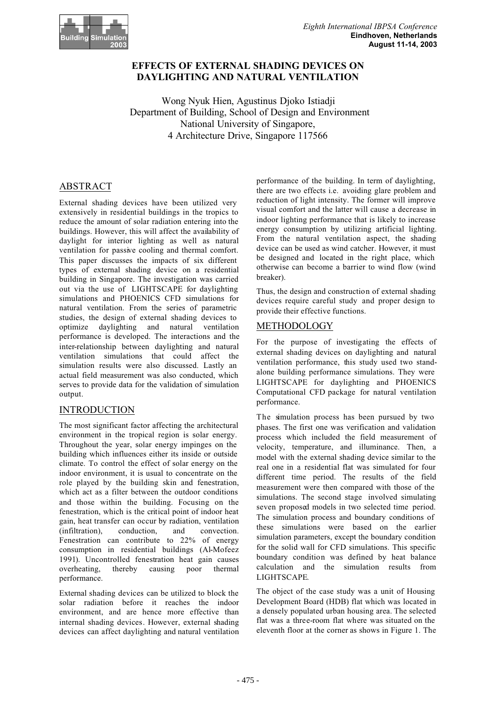

# **EFFECTS OF EXTERNAL SHADING DEVICES ON DAYLIGHTING AND NATURAL VENTILATION**

Wong Nyuk Hien, Agustinus Djoko Istiadji Department of Building, School of Design and Environment National University of Singapore, 4 Architecture Drive, Singapore 117566

# ABSTRACT

External shading devices have been utilized very extensively in residential buildings in the tropics to reduce the amount of solar radiation entering into the buildings. However, this will affect the availability of daylight for interior lighting as well as natural ventilation for passive cooling and thermal comfort. This paper discusses the impacts of six different types of external shading device on a residential building in Singapore. The investigation was carried out via the use of LIGHTSCAPE for daylighting simulations and PHOENICS CFD simulations for natural ventilation. From the series of parametric studies, the design of external shading devices to optimize daylighting and natural ventilation performance is developed. The interactions and the inter-relationship between daylighting and natural ventilation simulations that could affect the simulation results were also discussed. Lastly an actual field measurement was also conducted, which serves to provide data for the validation of simulation output.

### INTRODUCTION

The most significant factor affecting the architectural environment in the tropical region is solar energy. Throughout the year, solar energy impinges on the building which influences either its inside or outside climate. To control the effect of solar energy on the indoor environment, it is usual to concentrate on the role played by the building skin and fenestration, which act as a filter between the outdoor conditions and those within the building. Focusing on the fenestration, which is the critical point of indoor heat gain, heat transfer can occur by radiation, ventilation (infiltration), conduction, and convection. Fenestration can contribute to 22% of energy consumption in residential buildings (Al-Mofeez 1991). Uncontrolled fenestration heat gain causes overheating, thereby causing poor thermal performance.

External shading devices can be utilized to block the solar radiation before it reaches the indoor environment, and are hence more effective than internal shading devices. However, external shading devices can affect daylighting and natural ventilation

performance of the building. In term of daylighting, there are two effects i.e. avoiding glare problem and reduction of light intensity. The former will improve visual comfort and the latter will cause a decrease in indoor lighting performance that is likely to increase energy consumption by utilizing artificial lighting. From the natural ventilation aspect, the shading device can be used as wind catcher. However, it must be designed and located in the right place, which otherwise can become a barrier to wind flow (wind breaker).

Thus, the design and construction of external shading devices require careful study and proper design to provide their effective functions.

# METHODOLOGY

For the purpose of investigating the effects of external shading devices on daylighting and natural ventilation performance, this study used two standalone building performance simulations. They were LIGHTSCAPE for daylighting and PHOENICS Computational CFD package for natural ventilation performance.

The simulation process has been pursued by two phases. The first one was verification and validation process which included the field measurement of velocity, temperature, and illuminance. Then, a model with the external shading device similar to the real one in a residential flat was simulated for four different time period. The results of the field measurement were then compared with those of the simulations. The second stage involved simulating seven proposed models in two selected time period. The simulation process and boundary conditions of these simulations were based on the earlier simulation parameters, except the boundary condition for the solid wall for CFD simulations. This specific boundary condition was defined by heat balance calculation and the simulation results from LIGHTSCAPE.

The object of the case study was a unit of Housing Development Board (HDB) flat which was located in a densely populated urban housing area. The selected flat was a three-room flat where was situated on the eleventh floor at the corner as shows in Figure 1. The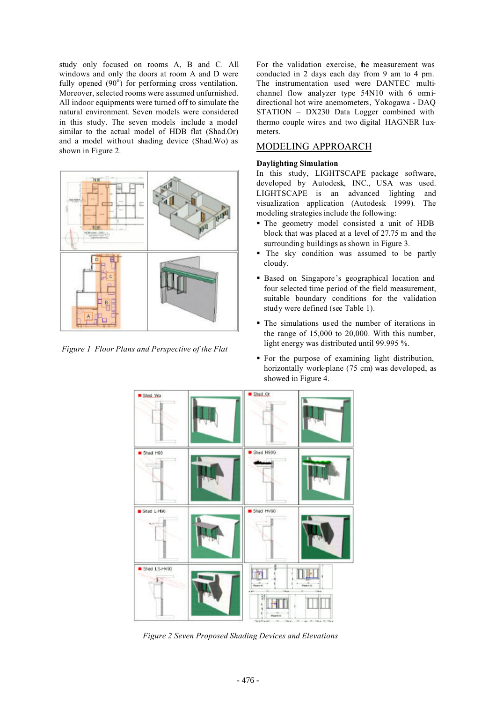study only focused on rooms A, B and C. All windows and only the doors at room A and D were fully opened  $(90^\circ)$  for performing cross ventilation. Moreover, selected rooms were assumed unfurnished. All indoor equipments were turned off to simulate the natural environment. Seven models were considered in this study. The seven models include a model similar to the actual model of HDB flat (Shad.Or) and a model without shading device (Shad.Wo) as shown in Figure 2.



*Figure 1 Floor Plans and Perspective of the Flat*

For the validation exercise, he measurement was conducted in 2 days each day from 9 am to 4 pm. The instrumentation used were DANTEC multichannel flow analyzer type 54N10 with 6 omnidirectional hot wire anemometers, Yokogawa - DAQ STATION – DX230 Data Logger combined with thermo couple wires and two digital HAGNER luxmeters.

### MODELING APPROARCH

#### **Daylighting Simulation**

In this study, LIGHTSCAPE package software, developed by Autodesk, INC., USA was used. LIGHTSCAPE is an advanced lighting and visualization application (Autodesk 1999). The modeling strategies include the following:

- The geometry model consisted a unit of HDB block that was placed at a level of 27.75 m and the surrounding buildings as shown in Figure 3.
- The sky condition was assumed to be partly cloudy.
- Based on Singapore's geographical location and four selected time period of the field measurement, suitable boundary conditions for the validation study were defined (see Table 1).
- The simulations used the number of iterations in the range of 15,000 to 20,000. With this number, light energy was distributed until 99.995 %.
- For the purpose of examining light distribution, horizontally work-plane (75 cm) was developed, as showed in Figure 4.



**Figure 2** Seven Proposed Shading Devices and Elevations *Figure 2 Seven Proposed Shading Devices and Elevations*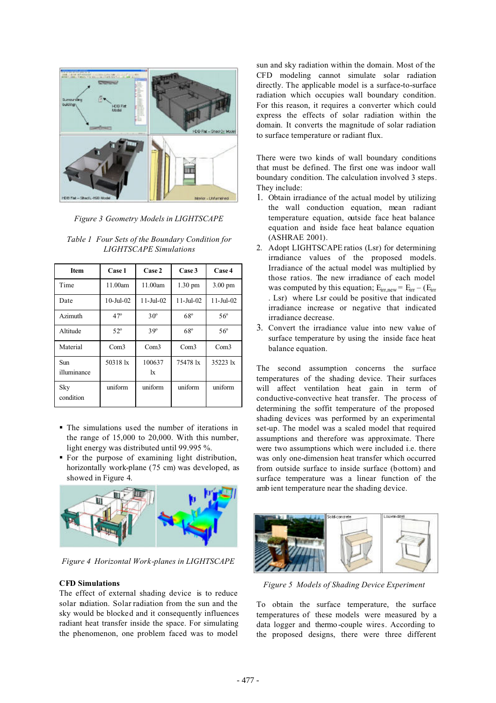

*Figure 3 Geometry Models in LIGHTSCAPE*

| <b>Item</b>               | Case 1          | Case 2                 | Case 3                 | Case 4                 |
|---------------------------|-----------------|------------------------|------------------------|------------------------|
| Time                      | 11.00am         | 11.00am                | $1.30 \text{ pm}$      | $3.00 \text{ pm}$      |
| Date                      | $10$ -Jul- $02$ | $11 - \text{Jul} - 02$ | $11 - \text{Jul} - 02$ | $11 - \text{Jul} - 02$ |
| Azimuth                   | $47^\circ$      | $30^\circ$             | $68^\circ$             | $56^{\circ}$           |
| Altitude                  | $52^{\circ}$    | $39^\circ$             | $68^\circ$             | $56^{\circ}$           |
| Material                  | Com3            | Com <sub>3</sub>       | Com <sub>3</sub>       | Com3                   |
| <b>Sun</b><br>illuminance | 50318 lx        | 100637<br>$\mathbf{I}$ | 75478 lx               | 35223 lx               |
| Sky<br>condition          | uniform         | uniform                | uniform                | uniform                |

*Table 1 Four Sets of the Boundary Condition for LIGHTSCAPE Simulations*

- The simulations used the number of iterations in the range of 15,000 to 20,000. With this number, light energy was distributed until 99.995 %.
- For the purpose of examining light distribution, horizontally work-plane (75 cm) was developed, as showed in Figure 4.



*Figure 4 Horizontal Work-planes in LIGHTSCAPE*

### **CFD Simulations**

The effect of external shading device is to reduce solar radiation. Solar radiation from the sun and the sky would be blocked and it consequently influences radiant heat transfer inside the space. For simulating the phenomenon, one problem faced was to model

sun and sky radiation within the domain. Most of the CFD modeling cannot simulate solar radiation directly. The applicable model is a surface-to-surface radiation which occupies wall boundary condition. For this reason, it requires a converter which could express the effects of solar radiation within the domain. It converts the magnitude of solar radiation to surface temperature or radiant flux.

There were two kinds of wall boundary conditions that must be defined. The first one was indoor wall boundary condition. The calculation involved 3 steps. They include:

- 1. Obtain irradiance of the actual model by utilizing the wall conduction equation, mean radiant temperature equation, outside face heat balance equation and inside face heat balance equation (ASHRAE 2001).
- 2. Adopt LIGHTSCAPE ratios (Lsr) for determining irradiance values of the proposed models. Irradiance of the actual model was multiplied by those ratios. The new irradiance of each model was computed by this equation;  $E_{irr,new} = E_{irr} - (E_{irr})$ . Lsr) where Lsr could be positive that indicated irradiance increase or negative that indicated irradiance decrease.
- 3. Convert the irradiance value into new value of surface temperature by using the inside face heat balance equation.

The second assumption concerns the surface temperatures of the shading device. Their surfaces will affect ventilation heat gain in term of conductive-convective heat transfer. The process of determining the soffit temperature of the proposed shading devices was performed by an experimental set-up. The model was a scaled model that required assumptions and therefore was approximate. There were two assumptions which were included i.e. there was only one-dimension heat transfer which occurred from outside surface to inside surface (bottom) and surface temperature was a linear function of the amb ient temperature near the shading device.



*Figure 5 Models of Shading Device Experiment*

To obtain the surface temperature, the surface temperatures of these models were measured by a data logger and thermo -couple wires. According to the proposed designs, there were three different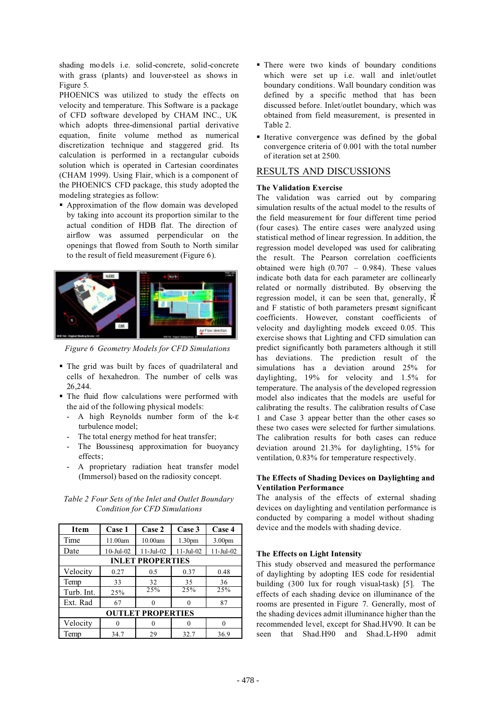shading mo dels i.e. solid-concrete, solid-concrete with grass (plants) and louver-steel as shows in Figure 5.

PHOENICS was utilized to study the effects on velocity and temperature. This Software is a package of CFD software developed by CHAM INC., UK which adopts three-dimensional partial derivative equation, finite volume method as numerical discretization technique and staggered grid. Its calculation is performed in a rectangular cuboids solution which is operated in Cartesian coordinates (CHAM 1999). Using Flair, which is a component of the PHOENICS CFD package, this study adopted the modeling strategies as follow:

 Approximation of the flow domain was developed by taking into account its proportion similar to the actual condition of HDB flat. The direction of airflow was assumed perpendicular on the openings that flowed from South to North similar to the result of field measurement (Figure 6).



*Figure 6 Geometry Models for CFD Simulations*

- The grid was built by faces of quadrilateral and cells of hexahedron. The number of cells was 26,244.
- The fluid flow calculations were performed with the aid of the following physical models:
	- A high Reynolds number form of the k-ε turbulence model;
	- The total energy method for heat transfer;
	- The Boussinesq approximation for buoyancy effects;
	- A proprietary radiation heat transfer model (Immersol) based on the radiosity concept.

| Item                     | Case 1          | Case 2      | Case 3             | Case 4      |  |  |
|--------------------------|-----------------|-------------|--------------------|-------------|--|--|
| Time                     | 11.00am         | 10.00am     | 1.30 <sub>pm</sub> | 3.00pm      |  |  |
| Date                     | $10$ -Jul- $02$ | $11-Jul-02$ | $11-Jul-02$        | $11-Jul-02$ |  |  |
| <b>INLET PROPERTIES</b>  |                 |             |                    |             |  |  |
| Velocity                 | 0.27            | 0.5         | 0.37               | 0.48        |  |  |
| Temp                     | 33              | 32          | 35                 | 36          |  |  |
| Turb. Int.               | 25%             | 25%         | $\overline{25\%}$  | 25%         |  |  |
| Ext. Rad                 | 67              | $\Omega$    |                    | 87          |  |  |
| <b>OUTLET PROPERTIES</b> |                 |             |                    |             |  |  |
| Velocity                 | 0               | 0           |                    |             |  |  |
| Temp                     | 34.7            | 29          | 32.7               | 36.9        |  |  |

*Table 2 Four Sets of the Inlet and Outlet Boundary Condition for CFD Simulations*

- There were two kinds of boundary conditions which were set up *i.e.* wall and inlet/outlet boundary conditions. Wall boundary condition was defined by a specific method that has been discussed before. Inlet/outlet boundary, which was obtained from field measurement, is presented in Table 2.
- Iterative convergence was defined by the global convergence criteria of 0.001 with the total number of iteration set at 2500.

# RESULTS AND DISCUSSIONS

### **The Validation Exercise**

The validation was carried out by comparing simulation results of the actual model to the results of the field measurement for four different time period (four cases). The entire cases were analyzed using statistical method of linear regression. In addition, the regression model developed was used for calibrating the result. The Pearson correlation coefficients obtained were high  $(0.707 - 0.984)$ . These values indicate both data for each parameter are collinearly related or normally distributed. By observing the regression model, it can be seen that, generally,  $\vec{R}$ and F statistic of both parameters present significant coefficients. However, constant coefficients of velocity and daylighting models exceed 0.05. This exercise shows that Lighting and CFD simulation can predict significantly both parameters although it still has deviations. The prediction result of the simulations has a deviation around 25% for daylighting, 19% for velocity and 1.5% for temperature. The analysis of the developed regression model also indicates that the models are useful for calibrating the results. The calibration results of Case 1 and Case 3 appear better than the other cases so these two cases were selected for further simulations. The calibration results for both cases can reduce deviation around 21.3% for daylighting, 15% for ventilation, 0.83% for temperature respectively.

#### **The Effects of Shading Devices on Daylighting and Ventilation Performance**

The analysis of the effects of external shading devices on daylighting and ventilation performance is conducted by comparing a model without shading device and the models with shading device.

### **The Effects on Light Intensity**

This study observed and measured the performance of daylighting by adopting IES code for residential building (300 lux for rough visual-task) [5]. The effects of each shading device on illuminance of the rooms are presented in Figure 7. Generally, most of the shading devices admit illuminance higher than the recommended level, except for Shad.HV90. It can be seen that Shad.H90 and Shad.L-H90 admit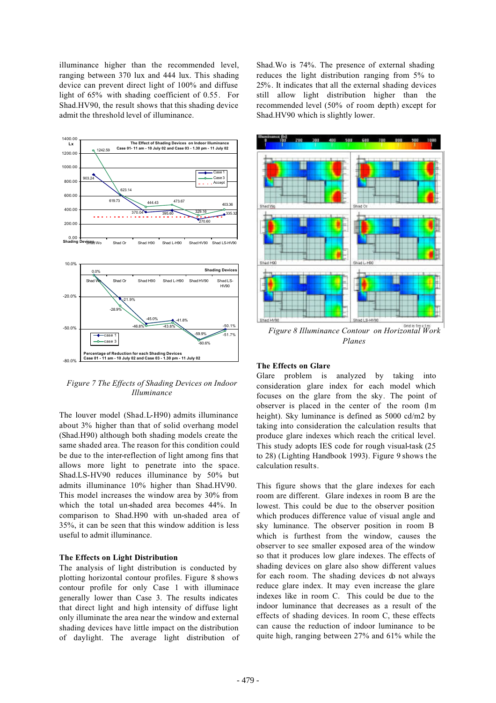illuminance higher than the recommended level, ranging between 370 lux and 444 lux. This shading device can prevent direct light of 100% and diffuse light of 65% with shading coefficient of 0.55. For Shad.HV90, the result shows that this shading device admit the threshold level of illuminance.



*Figure 7 The Effects of Shading Devices on Indoor Illuminance*

The louver model (Shad.L-H90) admits illuminance about 3% higher than that of solid overhang model (Shad.H90) although both shading models create the same shaded area. The reason for this condition could be due to the inter-reflection of light among fins that allows more light to penetrate into the space. Shad.LS-HV90 reduces illuminance by 50% but admits illuminance 10% higher than Shad.HV90. This model increases the window area by 30% from which the total un-shaded area becomes 44%. In comparison to Shad.H90 with un-shaded area of 35%, it can be seen that this window addition is less useful to admit illuminance.

#### **The Effects on Light Distribution**

The analysis of light distribution is conducted by plotting horizontal contour profiles. Figure 8 shows contour profile for only Case 1 with illuminace generally lower than Case 3. The results indicates that direct light and high intensity of diffuse light only illuminate the area near the window and external shading devices have little impact on the distribution of daylight. The average light distribution of Shad.Wo is 74%. The presence of external shading reduces the light distribution ranging from 5% to 25%. It indicates that all the external shading devices still allow light distribution higher than the recommended level (50% of room depth) except for Shad.HV90 which is slightly lower.



*Figure 8 Illuminance Contour on Horizontal Work Planes*

#### **The Effects on Glare**

Glare problem is analyzed by taking into consideration glare index for each model which focuses on the glare from the sky. The point of observer is placed in the center of the room (1m height). Sky luminance is defined as 5000 cd/m2 by taking into consideration the calculation results that produce glare indexes which reach the critical level. This study adopts IES code for rough visual-task (25 to 28) (Lighting Handbook 1993). Figure 9 shows the calculation results.

This figure shows that the glare indexes for each room are different. Glare indexes in room B are the lowest. This could be due to the observer position which produces difference value of visual angle and sky luminance. The observer position in room B which is furthest from the window, causes the observer to see smaller exposed area of the window so that it produces low glare indexes. The effects of shading devices on glare also show different values for each room. The shading devices do not always reduce glare index. It may even increase the glare indexes like in room C. This could be due to the indoor luminance that decreases as a result of the effects of shading devices. In room C, these effects can cause the reduction of indoor luminance to be quite high, ranging between 27% and 61% while the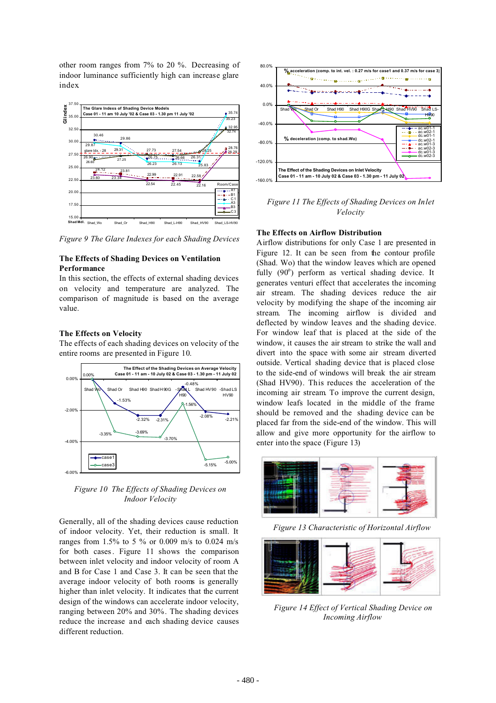other room ranges from 7% to 20 %. Decreasing of indoor luminance sufficiently high can increase glare index.



*Figure 9 The Glare Indexes for each Shading Devices*

#### **The Effects of Shading Devices on Ventilation Performance**

In this section, the effects of external shading devices on velocity and temperature are analyzed. The comparison of magnitude is based on the average value.

### **The Effects on Velocity**

The effects of each shading devices on velocity of the entire rooms are presented in Figure 10.



*Figure 10 The Effects of Shading Devices on Indoor Velocity*

Generally, all of the shading devices cause reduction of indoor velocity. Yet, their reduction is small. It ranges from 1.5% to 5 % or 0.009 m/s to 0.024 m/s for both cases. Figure 11 shows the comparison between inlet velocity and indoor velocity of room A and B for Case 1 and Case 3. It can be seen that the average indoor velocity of both rooms is generally higher than inlet velocity. It indicates that the current design of the windows can accelerate indoor velocity, ranging between 20% and 30%. The shading devices reduce the increase and each shading device causes different reduction.



*Figure 11 The Effects of Shading Devices on Inlet Velocity*

### **The Effects on Airflow Distribution**

Airflow distributions for only Case 1 are presented in Figure 12. It can be seen from the contour profile (Shad. Wo) that the window leaves which are opened fully (90°) perform as vertical shading device. It generates venturi effect that accelerates the incoming air stream. The shading devices reduce the air velocity by modifying the shape of the incoming air stream. The incoming airflow is divided and deflected by window leaves and the shading device. For window leaf that is placed at the side of the window, it causes the air stream to strike the wall and divert into the space with some air stream diverted outside. Vertical shading device that is placed close to the side-end of windows will break the air stream (Shad HV90). This reduces the acceleration of the incoming air stream. To improve the current design, window leafs located in the middle of the frame should be removed and the shading device can be placed far from the side-end of the window. This will allow and give more opportunity for the airflow to enter into the space (Figure 13)



*Figure 13 Characteristic of Horizontal Airflow*



*Figure 14 Effect of Vertical Shading Device on Incoming Airflow*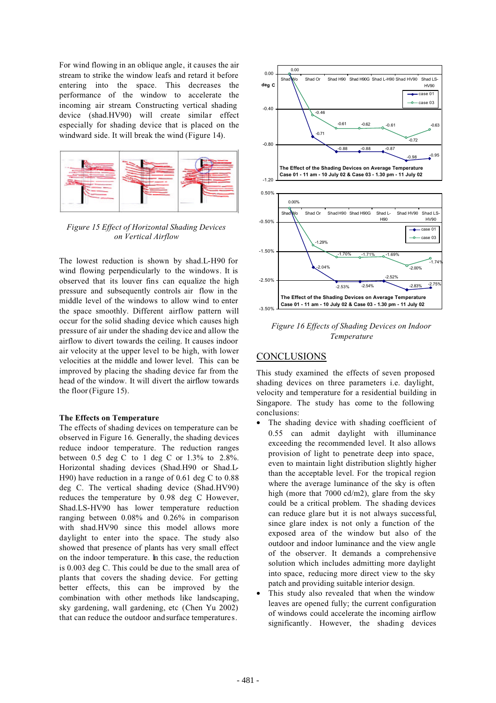For wind flowing in an oblique angle, it causes the air stream to strike the window leafs and retard it before entering into the space. This decreases the performance of the window to accelerate the incoming air stream. Constructing vertical shading device (shad.HV90) will create similar effect especially for shading device that is placed on the windward side. It will break the wind (Figure 14).



*Figure 15 Effect of Horizontal Shading Devices on Vertical Airflow*

The lowest reduction is shown by shad.L-H90 for wind flowing perpendicularly to the windows. It is observed that its louver fins can equalize the high pressure and subsequently controls air flow in the middle level of the windows to allow wind to enter the space smoothly. Different airflow pattern will occur for the solid shading device which causes high pressure of air under the shading device and allow the airflow to divert towards the ceiling. It causes indoor air velocity at the upper level to be high, with lower velocities at the middle and lower level. This can be improved by placing the shading device far from the head of the window. It will divert the airflow towards the floor (Figure 15).

#### **The Effects on Temperature**

The effects of shading devices on temperature can be observed in Figure 16. Generally, the shading devices reduce indoor temperature. The reduction ranges between 0.5 deg C to 1 deg C or 1.3% to 2.8%. Horizontal shading devices (Shad.H90 or Shad.L-H90) have reduction in a range of 0.61 deg C to 0.88 deg C. The vertical shading device (Shad.HV90) reduces the temperature by 0.98 deg C. However, Shad.LS-HV90 has lower temperature reduction ranging between 0.08% and 0.26% in comparison with shad.HV90 since this model allows more daylight to enter into the space. The study also showed that presence of plants has very small effect on the indoor temperature. In this case, the reduction is 0.003 deg C. This could be due to the small area of plants that covers the shading device. For getting better effects, this can be improved by the combination with other methods like landscaping, sky gardening, wall gardening, etc (Chen Yu 2002) that can reduce the outdoor and surface temperatures.



*Figure 16 Effects of Shading Devices on Indoor Temperature*

# **CONCLUSIONS**

This study examined the effects of seven proposed shading devices on three parameters i.e. daylight, velocity and temperature for a residential building in Singapore. The study has come to the following conclusions:

- The shading device with shading coefficient of 0.55 can admit daylight with illuminance exceeding the recommended level. It also allows provision of light to penetrate deep into space, even to maintain light distribution slightly higher than the acceptable level. For the tropical region where the average luminance of the sky is often high (more that 7000 cd/m2), glare from the sky could be a critical problem. The shading devices can reduce glare but it is not always successful, since glare index is not only a function of the exposed area of the window but also of the outdoor and indoor luminance and the view angle of the observer. It demands a comprehensive solution which includes admitting more daylight into space, reducing more direct view to the sky patch and providing suitable interior design.
- This study also revealed that when the window leaves are opened fully; the current configuration of windows could accelerate the incoming airflow significantly. However, the shading devices